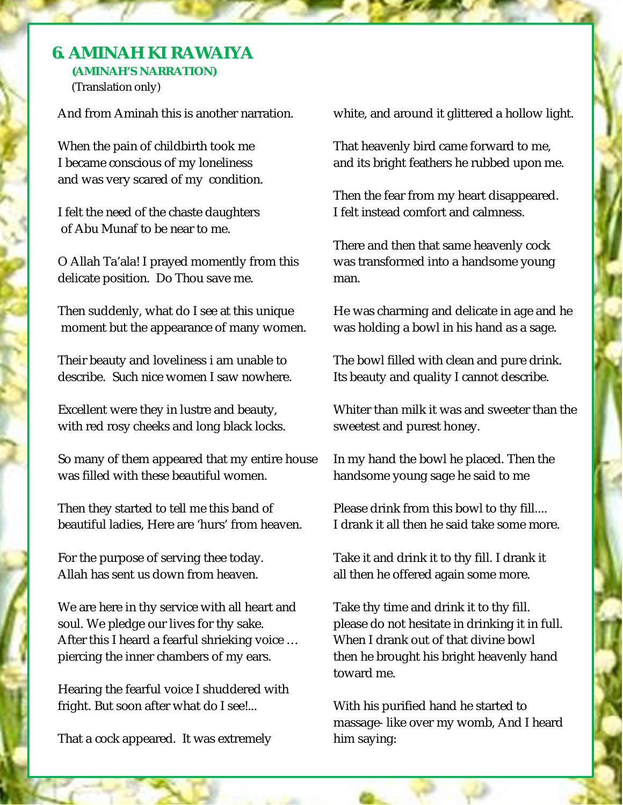## $\overline{a}$ **6. AMINAH KI RAWAIYA (AMINAH'S NARRATION)**

(Translation only)

And from Aminah this is another narration.

When the pain of childbirth took me I became conscious of my loneliness and was very scared of my condition.

I felt the need of the chaste daughters of Abu Munaf to be near to me.

O Allah Ta'ala! I prayed momently from this delicate position. Do Thou save me.

Then suddenly, what do I see at this unique moment but the appearance of many women.

Their beauty and loveliness i am unable to describe. Such nice women I saw nowhere.

Excellent were they in lustre and beauty, with red rosy cheeks and long black locks.

So many of them appeared that my entire house was filled with these beautiful women.

Then they started to tell me this band of beautiful ladies, Here are 'hurs' from heaven.

For the purpose of serving thee today. Allah has sent us down from heaven.

We are here in thy service with all heart and soul. We pledge our lives for thy sake. After this I heard a fearful shrieking voice … piercing the inner chambers of my ears.

Hearing the fearful voice I shuddered with fright. But soon after what do I see!...

That a cock appeared. It was extremely

white, and around it glittered a hollow light.

That heavenly bird came forward to me, and its bright feathers he rubbed upon me.

Then the fear from my heart disappeared. I felt instead comfort and calmness.

There and then that same heavenly cock was transformed into a handsome young man.

He was charming and delicate in age and he was holding a bowl in his hand as a sage.

The bowl filled with clean and pure drink. Its beauty and quality I cannot describe.

Whiter than milk it was and sweeter than the sweetest and purest honey.

In my hand the bowl he placed. Then the handsome young sage he said to me

Please drink from this bowl to thy fill.... I drank it all then he said take some more.

Take it and drink it to thy fill. I drank it all then he offered again some more.

Take thy time and drink it to thy fill. please do not hesitate in drinking it in full. When I drank out of that divine bowl then he brought his bright heavenly hand toward me.

With his purified hand he started to massage- like over my womb, And I heard him saying: